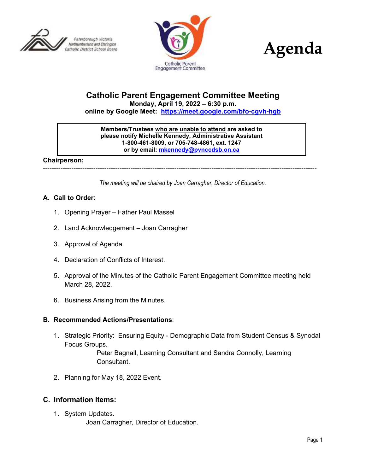





# **Catholic Parent Engagement Committee Meeting**

**Monday, April 19, 2022 – 6:30 p.m.**

**online by Google Meet: <https://meet.google.com/bfo-cgvh-hgb>**

**Members/Trustees who are unable to attend are asked to please notify Michelle Kennedy, Administrative Assistant 1-800-461-8009, or 705-748-4861, ext. 1247 or by email: [mkennedy@pvnccdsb.on.ca](mailto:mkennedy@pvnccdsb.on.ca)**

#### **Chairperson:**

-----------------------------------------------------------------------------------------------------------------------------

*The meeting will be chaired by Joan Carragher, Director of Education.*

### **A. Call to Order**:

- 1. Opening Prayer Father Paul Massel
- 2. Land Acknowledgement Joan Carragher
- 3. Approval of Agenda.
- 4. Declaration of Conflicts of Interest.
- 5. Approval of the Minutes of the Catholic Parent Engagement Committee meeting held March 28, 2022.
- 6. Business Arising from the Minutes.

#### **B. Recommended Actions/Presentations**:

1. Strategic Priority: Ensuring Equity - Demographic Data from Student Census & Synodal Focus Groups.

> Peter Bagnall, Learning Consultant and Sandra Connolly, Learning Consultant.

2. Planning for May 18, 2022 Event.

# **C. Information Items:**

1. System Updates.

Joan Carragher, Director of Education.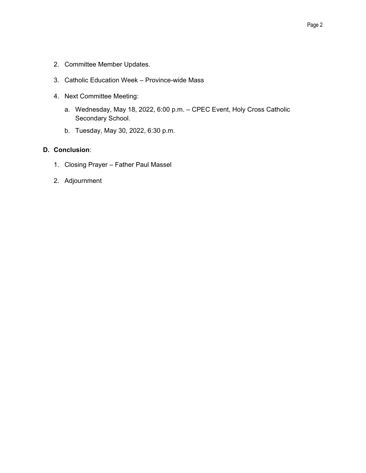- 2. Committee Member Updates.
- 3. Catholic Education Week Province-wide Mass
- 4. Next Committee Meeting:
	- a. Wednesday, May 18, 2022, 6:00 p.m. CPEC Event, Holy Cross Catholic Secondary School.
	- b. Tuesday, May 30, 2022, 6:30 p.m.

# **D. Conclusion**:

- 1. Closing Prayer Father Paul Massel
- 2. Adjournment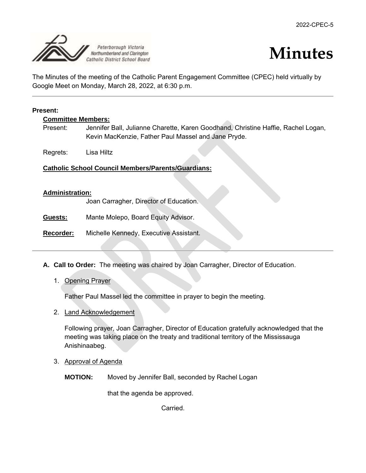



The Minutes of the meeting of the Catholic Parent Engagement Committee (CPEC) held virtually by Google Meet on Monday, March 28, 2022, at 6:30 p.m.

#### **Present:**

**Committee Members:**

Present: Jennifer Ball, Julianne Charette, Karen Goodhand, Christine Haffie, Rachel Logan, Kevin MacKenzie, Father Paul Massel and Jane Pryde.

Regrets: Lisa Hiltz

#### **Catholic School Council Members/Parents/Guardians:**

#### **Administration:**

Joan Carragher, Director of Education.

**Guests:** Mante Molepo, Board Equity Advisor.

**Recorder:** Michelle Kennedy, Executive Assistant.

- **A. Call to Order:** The meeting was chaired by Joan Carragher, Director of Education.
	- 1. Opening Prayer

Father Paul Massel led the committee in prayer to begin the meeting.

2. Land Acknowledgement

Following prayer, Joan Carragher, Director of Education gratefully acknowledged that the meeting was taking place on the treaty and traditional territory of the Mississauga Anishinaabeg.

3. Approval of Agenda

**MOTION:** Moved by Jennifer Ball, seconded by Rachel Logan

that the agenda be approved.

Carried.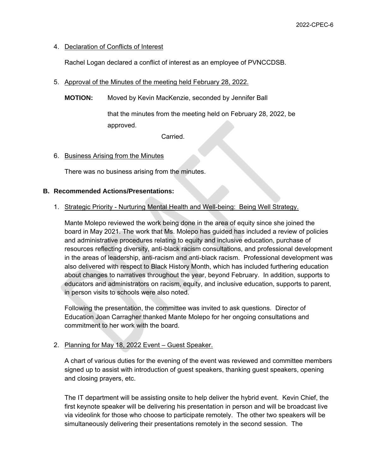# 4. Declaration of Conflicts of Interest

Rachel Logan declared a conflict of interest as an employee of PVNCCDSB.

- 5. Approval of the Minutes of the meeting held February 28, 2022.
	- **MOTION:** Moved by Kevin MacKenzie, seconded by Jennifer Ball

that the minutes from the meeting held on February 28, 2022, be approved.

Carried.

# 6. Business Arising from the Minutes

There was no business arising from the minutes.

### **B. Recommended Actions/Presentations:**

# 1. Strategic Priority - Nurturing Mental Health and Well-being: Being Well Strategy.

Mante Molepo reviewed the work being done in the area of equity since she joined the board in May 2021. The work that Ms. Molepo has guided has included a review of policies and administrative procedures relating to equity and inclusive education, purchase of resources reflecting diversity, anti-black racism consultations, and professional development in the areas of leadership, anti-racism and anti-black racism. Professional development was also delivered with respect to Black History Month, which has included furthering education about changes to narratives throughout the year, beyond February. In addition, supports to educators and administrators on racism, equity, and inclusive education, supports to parent, in person visits to schools were also noted.

Following the presentation, the committee was invited to ask questions. Director of Education Joan Carragher thanked Mante Molepo for her ongoing consultations and commitment to her work with the board.

# 2. Planning for May 18, 2022 Event – Guest Speaker.

A chart of various duties for the evening of the event was reviewed and committee members signed up to assist with introduction of guest speakers, thanking guest speakers, opening and closing prayers, etc.

The IT department will be assisting onsite to help deliver the hybrid event. Kevin Chief, the first keynote speaker will be delivering his presentation in person and will be broadcast live via videolink for those who choose to participate remotely. The other two speakers will be simultaneously delivering their presentations remotely in the second session. The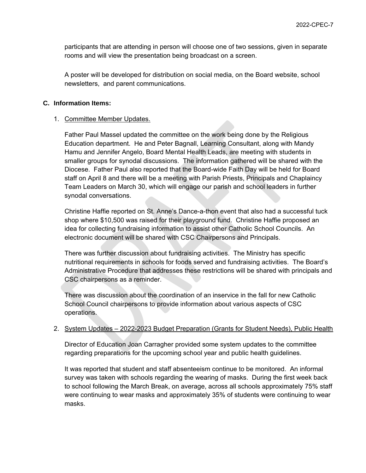participants that are attending in person will choose one of two sessions, given in separate rooms and will view the presentation being broadcast on a screen.

A poster will be developed for distribution on social media, on the Board website, school newsletters, and parent communications.

# **C. Information Items:**

### 1. Committee Member Updates.

Father Paul Massel updated the committee on the work being done by the Religious Education department. He and Peter Bagnall, Learning Consultant, along with Mandy Hamu and Jennifer Angelo, Board Mental Health Leads, are meeting with students in smaller groups for synodal discussions. The information gathered will be shared with the Diocese. Father Paul also reported that the Board-wide Faith Day will be held for Board staff on April 8 and there will be a meeting with Parish Priests, Principals and Chaplaincy Team Leaders on March 30, which will engage our parish and school leaders in further synodal conversations.

Christine Haffie reported on St. Anne's Dance-a-thon event that also had a successful tuck shop where \$10,500 was raised for their playground fund. Christine Haffie proposed an idea for collecting fundraising information to assist other Catholic School Councils. An electronic document will be shared with CSC Chairpersons and Principals.

There was further discussion about fundraising activities. The Ministry has specific nutritional requirements in schools for foods served and fundraising activities. The Board's Administrative Procedure that addresses these restrictions will be shared with principals and CSC chairpersons as a reminder.

There was discussion about the coordination of an inservice in the fall for new Catholic School Council chairpersons to provide information about various aspects of CSC operations.

# 2. System Updates – 2022-2023 Budget Preparation (Grants for Student Needs), Public Health

Director of Education Joan Carragher provided some system updates to the committee regarding preparations for the upcoming school year and public health guidelines.

It was reported that student and staff absenteeism continue to be monitored. An informal survey was taken with schools regarding the wearing of masks. During the first week back to school following the March Break, on average, across all schools approximately 75% staff were continuing to wear masks and approximately 35% of students were continuing to wear masks.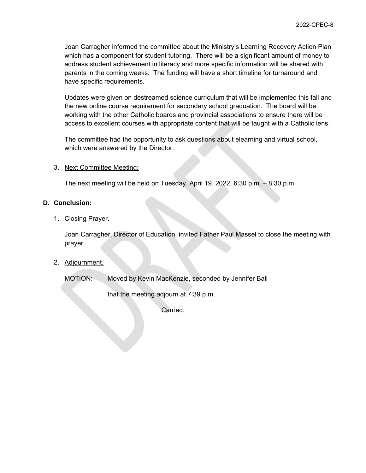Joan Carragher informed the committee about the Ministry's Learning Recovery Action Plan which has a component for student tutoring. There will be a significant amount of money to address student achievement in literacy and more specific information will be shared with parents in the coming weeks. The funding will have a short timeline for turnaround and have specific requirements.

Updates were given on destreamed science curriculum that will be implemented this fall and the new online course requirement for secondary school graduation. The board will be working with the other Catholic boards and provincial associations to ensure there will be access to excellent courses with appropriate content that will be taught with a Catholic lens.

The committee had the opportunity to ask questions about elearning and virtual school, which were answered by the Director.

### 3. Next Committee Meeting:

The next meeting will be held on Tuesday, April 19, 2022, 6:30 p.m. – 8:30 p.m

### **D. Conclusion:**

### 1. Closing Prayer.

Joan Carragher, Director of Education, invited Father Paul Massel to close the meeting with prayer.

# 2. Adjournment.

MOTION: Moved by Kevin MacKenzie, seconded by Jennifer Ball

that the meeting adjourn at 7:39 p.m.

Carried.